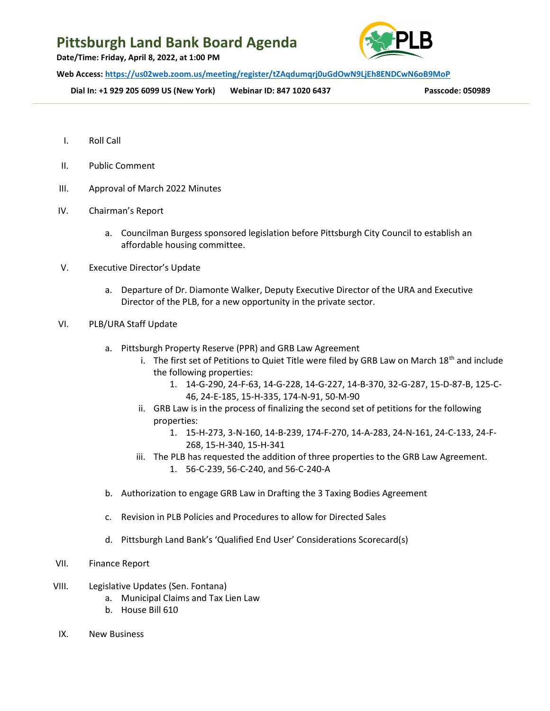## Pittsburgh Land Bank Board Agenda



Date/Time: Friday, April 8, 2022, at 1:00 PM

Web Access: https://us02web.zoom.us/meeting/register/tZAqdumqrj0uGdOwN9LjEh8ENDCwN6oB9MoP

Dial In: +1 929 205 6099 US (New York) Webinar ID: 847 1020 6437 Passcode: 050989

- I. Roll Call
- II. Public Comment
- III. Approval of March 2022 Minutes
- IV. Chairman's Report
	- a. Councilman Burgess sponsored legislation before Pittsburgh City Council to establish an affordable housing committee.
- V. Executive Director's Update
	- a. Departure of Dr. Diamonte Walker, Deputy Executive Director of the URA and Executive Director of the PLB, for a new opportunity in the private sector.
- VI. PLB/URA Staff Update
	- a. Pittsburgh Property Reserve (PPR) and GRB Law Agreement
		- i. The first set of Petitions to Quiet Title were filed by GRB Law on March 18<sup>th</sup> and include the following properties:
			- 1. 14-G-290, 24-F-63, 14-G-228, 14-G-227, 14-B-370, 32-G-287, 15-D-87-B, 125-C-46, 24-E-185, 15-H-335, 174-N-91, 50-M-90
		- ii. GRB Law is in the process of finalizing the second set of petitions for the following properties:
			- 1. 15-H-273, 3-N-160, 14-B-239, 174-F-270, 14-A-283, 24-N-161, 24-C-133, 24-F-268, 15-H-340, 15-H-341
		- iii. The PLB has requested the addition of three properties to the GRB Law Agreement. 1. 56-C-239, 56-C-240, and 56-C-240-A
	- b. Authorization to engage GRB Law in Drafting the 3 Taxing Bodies Agreement
	- c. Revision in PLB Policies and Procedures to allow for Directed Sales
	- d. Pittsburgh Land Bank's 'Qualified End User' Considerations Scorecard(s)
- VII. Finance Report
- VIII. Legislative Updates (Sen. Fontana)
	- a. Municipal Claims and Tax Lien Law
	- b. House Bill 610
- IX. New Business